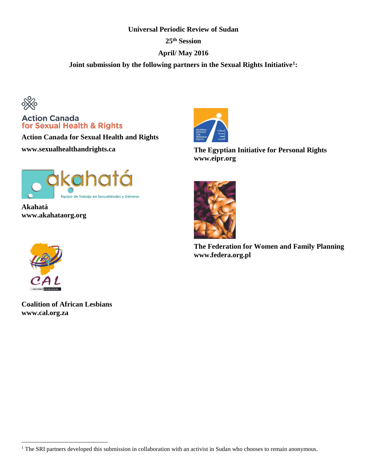### **Universal Periodic Review of Sudan**

**25th Session**

# **April/ May 2016**

**Joint submission by the following partners in the Sexual Rights Initiative[1:](#page-0-0)**



# **Action Canada** for Sexual Health & Rights

**Action Canada for Sexual Health and Rights www.sexualhealthandrights.ca**



**Akahatá www.akahataorg.org**



**The Egyptian Initiative for Personal Rights www.eipr.org**



**The Federation for Women and Family Planning www.federa.org.pl**



 $\overline{a}$ 

**Coalition of African Lesbians www.cal.org.za**

<span id="page-0-0"></span><sup>&</sup>lt;sup>1</sup> The SRI partners developed this submission in collaboration with an activist in Sudan who chooses to remain anonymous.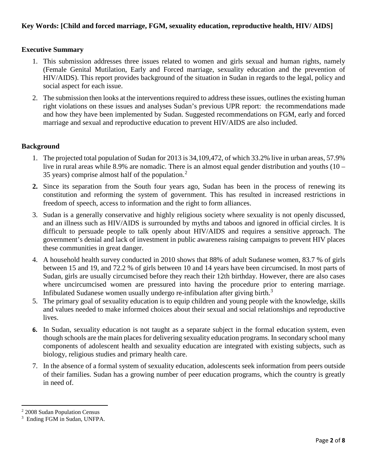# **Executive Summary**

- 1. This submission addresses three issues related to women and girls sexual and human rights, namely (Female Genital Mutilation, Early and Forced marriage, sexuality education and the prevention of HIV/AIDS). This report provides background of the situation in Sudan in regards to the legal, policy and social aspect for each issue.
- 2. The submission then looks at the interventions required to address these issues, outlines the existing human right violations on these issues and analyses Sudan's previous UPR report: the recommendations made and how they have been implemented by Sudan. Suggested recommendations on FGM, early and forced marriage and sexual and reproductive education to prevent HIV/AIDS are also included.

## **Background**

- 1. The projected total population of Sudan for 2013 is 34,109,472, of which 33.2% live in urban areas, 57.9% live in rural areas while 8.9% are nomadic. There is an almost equal gender distribution and youths (10 – 35 years) comprise almost half of the population.[2](#page-1-0)
- **2.** Since its separation from the South four years ago, Sudan has been in the process of renewing its constitution and reforming the system of government. This has resulted in increased restrictions in freedom of speech, access to information and the right to form alliances.
- 3. Sudan is a generally conservative and highly religious society where sexuality is not openly discussed, and an illness such as HIV/AIDS is surrounded by myths and taboos and ignored in official circles. It is difficult to persuade people to talk openly about HIV/AIDS and requires a sensitive approach. The government's denial and lack of investment in public awareness raising campaigns to prevent HIV places these communities in great danger.
- 4. A household health survey conducted in 2010 shows that 88% of adult Sudanese women, 83.7 % of girls between 15 and 19, and 72.2 % of girls between 10 and 14 years have been circumcised. In most parts of Sudan, girls are usually circumcised before they reach their 12th birthday. However, there are also cases where uncircumcised women are pressured into having the procedure prior to entering marriage. Infibulated Sudanese women usually undergo re-infibulation after giving birth.<sup>[3](#page-1-1)</sup>
- 5. The primary goal of sexuality education is to equip children and young people with the knowledge, skills and values needed to make informed choices about their sexual and social relationships and reproductive lives.
- **6.** In Sudan, sexuality education is not taught as a separate subject in the formal education system, even though schools are the main places for delivering sexuality education programs. In secondary school many components of adolescent health and sexuality education are integrated with existing subjects, such as biology, religious studies and primary health care.
- 7. In the absence of a formal system of sexuality education, adolescents seek information from peers outside of their families. Sudan has a growing number of peer education programs, which the country is greatly in need of.

 $\overline{\phantom{a}}$ 

<span id="page-1-0"></span><sup>2</sup> 2008 Sudan Population Census

<span id="page-1-1"></span><sup>3</sup> Ending FGM in Sudan, UNFPA.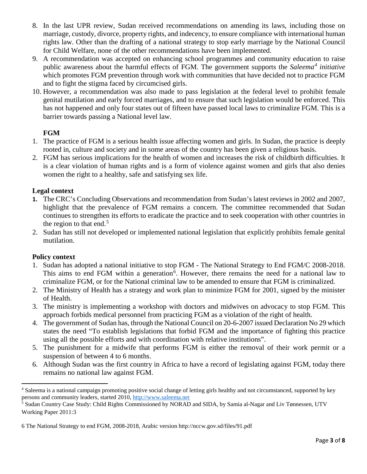- 8. In the last UPR review, Sudan received recommendations on amending its laws, including those on marriage, custody, divorce, property rights, and indecency, to ensure compliance with international human rights law. Other than the drafting of a national strategy to stop early marriage by the National Council for Child Welfare, none of the other recommendations have been implemented.
- 9. A recommendation was accepted on enhancing school programmes and community education to raise public awareness about the harmful effects of FGM. The government supports the *Saleema[4](#page-2-0) initiative* which promotes FGM prevention through work with communities that have decided not to practice FGM and to fight the stigma faced by circumcised girls.
- 10. However, a recommendation was also made to pass legislation at the federal level to prohibit female genital mutilation and early forced marriages, and to ensure that such legislation would be enforced. This has not happened and only four states out of fifteen have passed local laws to criminalize FGM. This is a barrier towards passing a National level law.

# **FGM**

- 1. The practice of FGM is a serious health issue affecting women and girls. In Sudan, the practice is deeply rooted in, culture and society and in some areas of the country has been given a religious basis.
- 2. FGM has serious implications for the health of women and increases the risk of childbirth difficulties. It is a clear violation of human rights and is a form of violence against women and girls that also denies women the right to a healthy, safe and satisfying sex life.

# **Legal context**

- **1.** The CRC's Concluding Observations and recommendation from Sudan's latest reviews in 2002 and 2007, highlight that the prevalence of FGM remains a concern. The committee recommended that Sudan continues to strengthen its efforts to eradicate the practice and to seek cooperation with other countries in the region to that end.<sup>[5](#page-2-1)</sup>
- 2. Sudan has still not developed or implemented national legislation that explicitly prohibits female genital mutilation.

# **Policy context**

- 1. Sudan has adopted a national initiative to stop FGM The National Strategy to End FGM/C 2008-2018. This aims to end FGM within a generation<sup>[6](#page-2-2)</sup>. However, there remains the need for a national law to criminalize FGM, or for the National criminal law to be amended to ensure that FGM is criminalized.
- 2. The Ministry of Health has a strategy and work plan to minimize FGM for 2001, signed by the minister of Health.
- 3. The ministry is implementing a workshop with doctors and midwives on advocacy to stop FGM. This approach forbids medical personnel from practicing FGM as a violation of the right of health.
- 4. The government of Sudan has, through the National Council on 20-6-2007 issued Declaration No 29 which states the need "To establish legislations that forbid FGM and the importance of fighting this practice using all the possible efforts and with coordination with relative institutions".
- 5. The punishment for a midwife that performs FGM is either the removal of their work permit or a suspension of between 4 to 6 months.
- 6. Although Sudan was the first country in Africa to have a record of legislating against FGM, today there remains no national law against FGM.

<span id="page-2-0"></span>l <sup>4</sup> Saleema is a national campaign promoting positive social change of letting girls healthy and not circumstanced, supported by key persons and community leaders, started 2010[, http://www.saleema.net](http://www.saleema.net/)

<span id="page-2-1"></span><sup>5</sup> Sudan Country Case Study: Child Rights Commissioned by NORAD and SIDA, by Samia al-Nagar and Liv Tønnessen, UTV Working Paper 2011:3

<span id="page-2-2"></span><sup>6</sup> The National Strategy to end FGM, 2008-2018, Arabic version<http://nccw.gov.sd/files/91.pdf>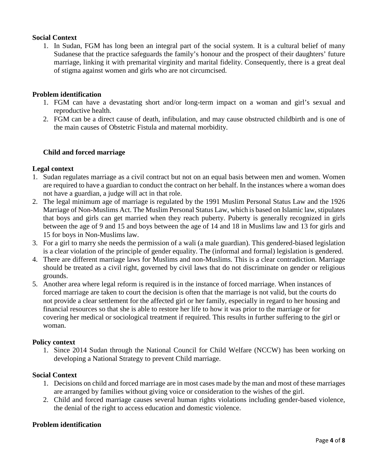## **Social Context**

1. In Sudan, FGM has long been an integral part of the social system. It is a cultural belief of many Sudanese that the practice safeguards the family's honour and the prospect of their daughters' future marriage, linking it with premarital virginity and marital fidelity. Consequently, there is a great deal of stigma against women and girls who are not circumcised.

#### **Problem identification**

- 1. FGM can have a devastating short and/or long-term impact on a woman and girl's sexual and reproductive health.
- 2. FGM can be a direct cause of death, infibulation, and may cause obstructed childbirth and is one of the main causes of Obstetric Fistula and maternal morbidity.

#### **Child and forced marriage**

#### **Legal context**

- 1. Sudan regulates marriage as a civil contract but not on an equal basis between men and women. Women are required to have a guardian to conduct the contract on her behalf. In the instances where a woman does not have a guardian, a judge will act in that role.
- 2. The legal minimum age of marriage is regulated by the 1991 Muslim Personal Status Law and the 1926 Marriage of Non-Muslims Act. The Muslim Personal Status Law, which is based on Islamic law, stipulates that boys and girls can get married when they reach puberty. Puberty is generally recognized in girls between the age of 9 and 15 and boys between the age of 14 and 18 in Muslims law and 13 for girls and 15 for boys in Non-Muslims law.
- 3. For a girl to marry she needs the permission of a wali (a male guardian). This gendered-biased legislation is a clear violation of the principle of gender equality. The (informal and formal) legislation is gendered.
- 4. There are different marriage laws for Muslims and non-Muslims. This is a clear contradiction. Marriage should be treated as a civil right, governed by civil laws that do not discriminate on gender or religious grounds.
- 5. Another area where legal reform is required is in the instance of forced marriage. When instances of forced marriage are taken to court the decision is often that the marriage is not valid, but the courts do not provide a clear settlement for the affected girl or her family, especially in regard to her housing and financial resources so that she is able to restore her life to how it was prior to the marriage or for covering her medical or sociological treatment if required. This results in further suffering to the girl or woman.

#### **Policy context**

1. Since 2014 Sudan through the National Council for Child Welfare (NCCW) has been working on developing a National Strategy to prevent Child marriage.

#### **Social Context**

- 1. Decisions on child and forced marriage are in most cases made by the man and most of these marriages are arranged by families without giving voice or consideration to the wishes of the girl.
- 2. Child and forced marriage causes several human rights violations including gender-based violence, the denial of the right to access education and domestic violence.

#### **Problem identification**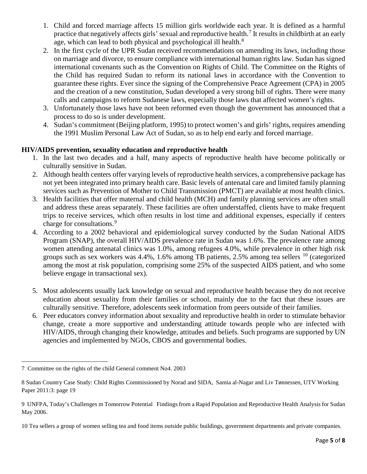- 1. Child and forced marriage affects 15 million girls worldwide each year. It is defined as a harmful practice that negatively affects girls' sexual and reproductive health.<sup>[7](#page-4-0)</sup> It results in childbirth at an early age, which can lead to both physical and psychological ill health. $^8$  $^8$
- 2. In the first cycle of the UPR Sudan received recommendations on amending its laws, including those on marriage and divorce, to ensure compliance with international human rights law. Sudan has signed international covenants such as the Convention on Rights of Child. The Committee on the Rights of the Child has required Sudan to reform its national laws in accordance with the Convention to guarantee these rights. Ever since the signing of the Comprehensive Peace Agreement (CPA) in 2005 and the creation of a new constitution, Sudan developed a very strong bill of rights. There were many calls and campaigns to reform Sudanese laws, especially those laws that affected women's rights.
- 3. Unfortunately those laws have not been reformed even though the government has announced that a process to do so is under development.
- 4. Sudan's commitment (Beijing platform, 1995) to protect women's and girls' rights, requires amending the 1991 Muslim Personal Law Act of Sudan, so as to help end early and forced marriage.

# **HIV/AIDS prevention, sexuality education and reproductive health**

- 1. In the last two decades and a half, many aspects of reproductive health have become politically or culturally sensitive in Sudan.
- 2. Although health centers offer varying levels of reproductive health services, a comprehensive package has not yet been integrated into primary health care. Basic levels of antenatal care and limited family planning services such as Prevention of Mother to Child Transmission (PMCT) are available at most health clinics.
- 3. Health facilities that offer maternal and child health (MCH) and family planning services are often small and address these areas separately. These facilities are often understaffed, clients have to make frequent trips to receive services, which often results in lost time and additional expenses, especially if centers charge for consultations.<sup>[9](#page-4-2)</sup>
- 4. According to a 2002 behavioral and epidemiological survey conducted by the Sudan National AIDS Program (SNAP), the overall HIV/AIDS prevalence rate in Sudan was 1.6%. The prevalence rate among women attending antenatal clinics was 1.0%, among refugees 4.0%, while prevalence in other high risk groups such as sex workers was  $4.4\%$ , 1.6% among TB patients, 2.5% among tea sellers  $^{10}$  $^{10}$  $^{10}$  (categorized among the most at risk population, comprising some 25% of the suspected AIDS patient, and who some believe engage in transactional sex).
- 5. Most adolescents usually lack knowledge on sexual and reproductive health because they do not receive education about sexuality from their families or school, mainly due to the fact that these issues are culturally sensitive. Therefore, adolescents seek information from peers outside of their families.
- 6. Peer educators convey information about sexuality and reproductive health in order to stimulate behavior change, create a more supportive and understanding attitude towards people who are infected with HIV/AIDS, through changing their knowledge, attitudes and beliefs. Such programs are supported by UN agencies and implemented by NGOs, CBOS and governmental bodies.

<span id="page-4-0"></span> $\overline{a}$ 7 Committee on the rights of the child General comment No4. 2003

<span id="page-4-1"></span><sup>8</sup> Sudan Country Case Study: Child Rights Commissioned by Norad and SIDA, Samia al-Nagar and Liv Tønnessen, UTV Working Paper 2011:3: page 19

<span id="page-4-2"></span><sup>9</sup> UNFPA, Today's Challenges m Tomorrow Potential Findings from a Rapid Population and Reproductive Health Analysis for Sudan May 2006.

<span id="page-4-3"></span><sup>10</sup> Tea sellers a group of women selling tea and food items outside public buildings, government departments and private companies.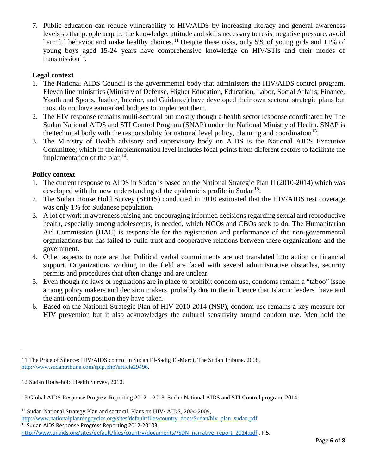7. Public education can reduce vulnerability to HIV/AIDS by increasing literacy and general awareness levels so that people acquire the knowledge, attitude and skills necessary to resist negative pressure, avoid harmful behavior and make healthy choices.<sup>[11](#page-5-0)</sup> Despite these risks, only 5% of young girls and 11% of young boys aged 15-24 years have comprehensive knowledge on HIV/STIs and their modes of transmission $^{12}$  $^{12}$  $^{12}$ .

# **Legal context**

- 1. The National AIDS Council is the governmental body that administers the HIV/AIDS control program. Eleven line ministries (Ministry of Defense, Higher Education, Education, Labor, Social Affairs, Finance, Youth and Sports, Justice, Interior, and Guidance) have developed their own sectoral strategic plans but most do not have earmarked budgets to implement them.
- 2. The HIV response remains multi-sectoral but mostly though a health sector response coordinated by The Sudan National AIDS and STI Control Program (SNAP) under the National Ministry of Health. SNAP is the technical body with the responsibility for national level policy, planning and coordination<sup>13</sup>.
- 3. The Ministry of Health advisory and supervisory body on AIDS is the National AIDS Executive Committee; which in the implementation level includes focal points from different sectors to facilitate the implementation of the plan<sup>[14](#page-5-3)</sup>.

# **Policy context**

- 1. The current response to AIDS in Sudan is based on the National Strategic Plan II (2010-2014) which was developed with the new understanding of the epidemic's profile in Sudan<sup>15</sup>.
- 2. The Sudan House Hold Survey (SHHS) conducted in 2010 estimated that the HIV/AIDS test coverage was only 1% for Sudanese population.
- 3. A lot of work in awareness raising and encouraging informed decisions regarding sexual and reproductive health, especially among adolescents, is needed, which NGOs and CBOs seek to do. The Humanitarian Aid Commission (HAC) is responsible for the registration and performance of the non-governmental organizations but has failed to build trust and cooperative relations between these organizations and the government.
- 4. Other aspects to note are that Political verbal commitments are not translated into action or financial support. Organizations working in the field are faced with several administrative obstacles, security permits and procedures that often change and are unclear.
- 5. Even though no laws or regulations are in place to prohibit condom use, condoms remain a "taboo" issue among policy makers and decision makers, probably due to the influence that Islamic leaders' have and the anti-condom position they have taken.
- 6. Based on the National Strategic Plan of HIV 2010-2014 (NSP), condom use remains a key measure for HIV prevention but it also acknowledges the cultural sensitivity around condom use. Men hold the

l

<span id="page-5-0"></span><sup>11</sup> The Price of Silence: HIV/AIDS control in Sudan El-Sadig El-Mardi, The Sudan Tribune, 2008, [http://www.sudantribune.com/spip.php?article29496.](http://www.sudantribune.com/spip.php?article29496)

<span id="page-5-1"></span><sup>12</sup> Sudan Household Health Survey, 2010.

<span id="page-5-2"></span><sup>13</sup> Global AIDS Response Progress Reporting 2012 – 2013, Sudan National AIDS and STI Control program, 2014.

<span id="page-5-4"></span><span id="page-5-3"></span><sup>&</sup>lt;sup>14</sup> Sudan National Strategy Plan and sectoral Plans on HIV/ AIDS, 2004-2009, [http://www.nationalplanningcycles.org/sites/default/files/country\\_docs/Sudan/hiv\\_plan\\_sudan.pdf](http://www.nationalplanningcycles.org/sites/default/files/country_docs/Sudan/hiv_plan_sudan.pdf) <sup>15</sup> Sudan AIDS Response Progress Reporting 2012-20103, [http://www.unaids.org/sites/default/files/country/documents//SDN\\_narrative\\_report\\_2014.pdf](http://www.unaids.org/sites/default/files/country/documents/SDN_narrative_report_2014.pdf), P 5.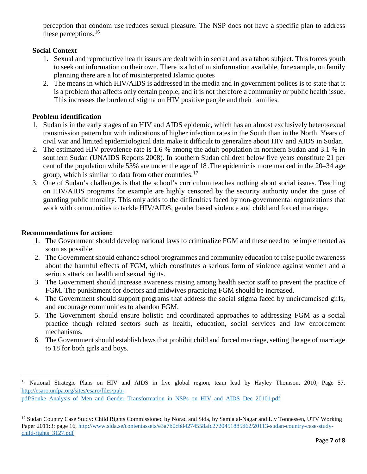perception that condom use reduces sexual pleasure. The NSP does not have a specific plan to address these perceptions.<sup>[16](#page-6-0)</sup>

# **Social Context**

- 1. Sexual and reproductive health issues are dealt with in secret and as a taboo subject. This forces youth to seek out information on their own. There is a lot of misinformation available, for example, on family planning there are a lot of misinterpreted Islamic quotes
- 2. The means in which HIV/AIDS is addressed in the media and in government polices is to state that it is a problem that affects only certain people, and it is not therefore a community or public health issue. This increases the burden of stigma on HIV positive people and their families.

## **Problem identification**

- 1. Sudan is in the early stages of an HIV and AIDS epidemic, which has an almost exclusively heterosexual transmission pattern but with indications of higher infection rates in the South than in the North. Years of civil war and limited epidemiological data make it difficult to generalize about HIV and AIDS in Sudan.
- 2. The estimated HIV prevalence rate is 1.6 % among the adult population in northern Sudan and 3.1 % in southern Sudan (UNAIDS Reports 2008). In southern Sudan children below five years constitute 21 per cent of the population while 53% are under the age of 18 .The epidemic is more marked in the 20–34 age group, which is similar to data from other countries.[17](#page-6-1)
- 3. One of Sudan's challenges is that the school's curriculum teaches nothing about social issues. Teaching on HIV/AIDS programs for example are highly censored by the security authority under the guise of guarding public morality. This only adds to the difficulties faced by non-governmental organizations that work with communities to tackle HIV/AIDS, gender based violence and child and forced marriage.

#### **Recommendations for action:**

 $\overline{a}$ 

- 1. The Government should develop national laws to criminalize FGM and these need to be implemented as soon as possible.
- 2. The Government should enhance school programmes and community education to raise public awareness about the harmful effects of FGM, which constitutes a serious form of violence against women and a serious attack on health and sexual rights.
- 3. The Government should increase awareness raising among health sector staff to prevent the practice of FGM. The punishment for doctors and midwives practicing FGM should be increased.
- 4. The Government should support programs that address the social stigma faced by uncircumcised girls, and encourage communities to abandon FGM.
- 5. The Government should ensure holistic and coordinated approaches to addressing FGM as a social practice though related sectors such as health, education, social services and law enforcement mechanisms.
- 6. The Government should establish laws that prohibit child and forced marriage, setting the age of marriage to 18 for both girls and boys.

<span id="page-6-0"></span><sup>&</sup>lt;sup>16</sup> National Strategic Plans on HIV and AIDS in five global region, team lead by Hayley Thomson, 2010, Page 57, [http://esaro.unfpa.org/sites/esaro/files/pub-](http://esaro.unfpa.org/sites/esaro/files/pub-pdf/Sonke_Analysis_of_Men_and_Gender_Transformation_in_NSPs_on_HIV_and_AIDS_Dec_20101.pdf)

[pdf/Sonke\\_Analysis\\_of\\_Men\\_and\\_Gender\\_Transformation\\_in\\_NSPs\\_on\\_HIV\\_and\\_AIDS\\_Dec\\_20101.pdf](http://esaro.unfpa.org/sites/esaro/files/pub-pdf/Sonke_Analysis_of_Men_and_Gender_Transformation_in_NSPs_on_HIV_and_AIDS_Dec_20101.pdf)

<span id="page-6-1"></span><sup>&</sup>lt;sup>17</sup> Sudan Country Case Study: Child Rights Commissioned by Norad and Sida, by Samia al-Nagar and Liv Tønnessen, UTV Working Paper 2011:3: page 16[, http://www.sida.se/contentassets/e3a7b0cb84274558afc2720451885d62/20113-sudan-country-case-study](http://www.sida.se/contentassets/e3a7b0cb84274558afc2720451885d62/20113-sudan-country-case-study-child-rights_3127.pdf)[child-rights\\_3127.pdf](http://www.sida.se/contentassets/e3a7b0cb84274558afc2720451885d62/20113-sudan-country-case-study-child-rights_3127.pdf)